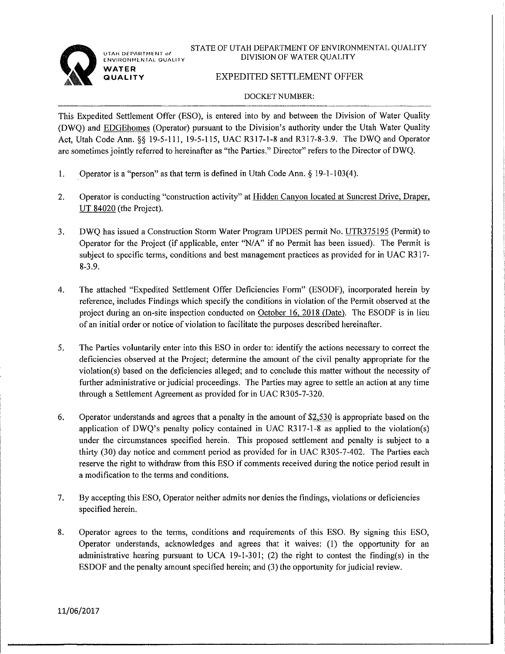

UTAH DEPARTMENT of **ENVIRONMENTAL QUALITY** WATER UALITY

STATE OF UTAH DEPARTMENT OF ENVIRONMENTAL QUALITY DIVISION OF WATER OUALITY

# **EXPEDITED SETTLEMENT OFFER**

## **DOCKET NUMBER:**

This Expedited Settlement Offer (ESO), is entered into by and between the Division of Water Quality (DWQ) and EDGEhomes (Operator) pursuant to the Division's authority under the Utah Water Quality Act, Utah Code Ann. §§ 19-5-111, 19-5-115, UAC R317-1-8 and R317-8-3.9. The DWQ and Operator are sometimes jointly referred to hereinafter as "the Parties." Director" refers to the Director of DWQ.

- $1.$ Operator is a "person" as that term is defined in Utah Code Ann. § 19-1-103(4).
- $2.$ Operator is conducting "construction activity" at Hidden Canyon located at Suncrest Drive, Draper,  $UT 84020$  (the Project).
- DWQ has issued a Construction Storm Water Program UPDES permit No. UTR375195 (Permit) to  $3<sub>1</sub>$ Operator for the Project (if applicable, enter "N/A" if no Permit has been issued). The Permit is subject to specific terms, conditions and best management practices as provided for in UAC R317- $8-3.9.$
- The attached "Expedited Settlement Offer Deficiencies Form" (ESODF), incorporated herein by  $\overline{4}$ . reference, includes Findings which specify the conditions in violation of the Permit observed at the project during an on-site inspection conducted on October 16, 2018 (Date). The ESODF is in lieu of an initial order or notice of violation to facilitate the purposes described hereinafter.
- 5. The Parties voluntarily enter into this ESO in order to: identify the actions necessary to correct the deficiencies observed at the Project; determine the amount of the civil penalty appropriate for the violation(s) based on the deficiencies alleged; and to conclude this matter without the necessity of further administrative or judicial proceedings. The Parties may agree to settle an action at any time through a Settlement Agreement as provided for in UAC R305-7-320.
- 6. Operator understands and agrees that a penalty in the amount of \$2,530 is appropriate based on the application of DWO's penalty policy contained in UAC  $R317-1-8$  as applied to the violation(s) under the circumstances specified herein. This proposed settlement and penalty is subject to a thirty (30) day notice and comment period as provided for in UAC R305-7-402. The Parties each reserve the right to withdraw from this ESO if comments received during the notice period result in a modification to the terms and conditions.
- 7. By accepting this ESO, Operator neither admits nor denies the findings, violations or deficiencies specified herein.
- 8. Operator agrees to the terms, conditions and requirements of this ESO. By signing this ESO, Operator understands, acknowledges and agrees that it waives: (1) the opportunity for an administrative hearing pursuant to UCA 19-1-301; (2) the right to contest the finding(s) in the ESDOF and the penalty amount specified herein; and (3) the opportunity for judicial review.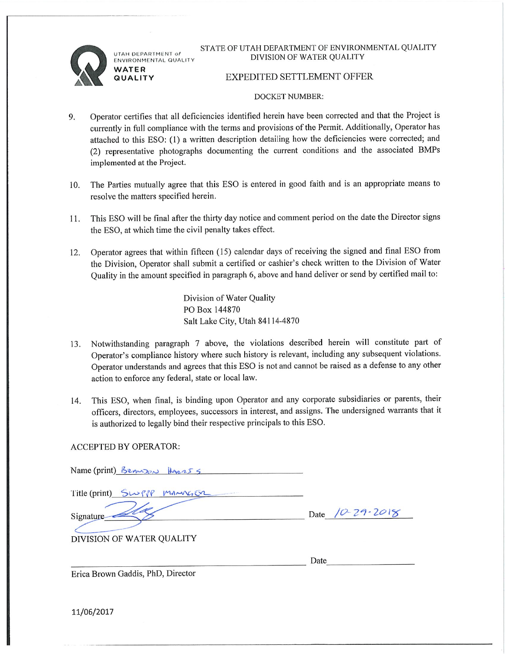UTAH DEPARTMENT of ENVIRONMENTAL QUALITY WATER **QUALITY** 

STATE OF UTAH DEPARTMENT OF ENVIRONMENTAL QUALITY DIVISION OF WATER OUALITY

## **EXPEDITED SETTLEMENT OFFER**

#### **DOCKET NUMBER:**

- Operator certifies that all deficiencies identified herein have been corrected and that the Project is 9. currently in full compliance with the terms and provisions of the Permit. Additionally, Operator has attached to this ESO: (1) a written description detailing how the deficiencies were corrected; and (2) representative photographs documenting the current conditions and the associated BMPs implemented at the Project.
- The Parties mutually agree that this ESO is entered in good faith and is an appropriate means to  $10.$ resolve the matters specified herein.
- This ESO will be final after the thirty day notice and comment period on the date the Director signs 11. the ESO, at which time the civil penalty takes effect.
- Operator agrees that within fifteen (15) calendar days of receiving the signed and final ESO from  $12.$ the Division, Operator shall submit a certified or cashier's check written to the Division of Water Quality in the amount specified in paragraph 6, above and hand deliver or send by certified mail to:

Division of Water Quality PO Box 144870 Salt Lake City, Utah 84114-4870

- Notwithstanding paragraph 7 above, the violations described herein will constitute part of 13. Operator's compliance history where such history is relevant, including any subsequent violations. Operator understands and agrees that this ESO is not and cannot be raised as a defense to any other action to enforce any federal, state or local law.
- This ESO, when final, is binding upon Operator and any corporate subsidiaries or parents, their 14. officers, directors, employees, successors in interest, and assigns. The undersigned warrants that it is authorized to legally bind their respective principals to this ESO.

### **ACCEPTED BY OPERATOR:**

| Name (print) Benuson Haer55 |                        |
|-----------------------------|------------------------|
| Title (print) SWPP MANAGER  |                        |
| Signature                   | Date $(0 - 29 - 2018)$ |
| DIVISION OF WATER QUALITY   |                        |
|                             | Date                   |

Erica Brown Gaddis, PhD, Director

11/06/2017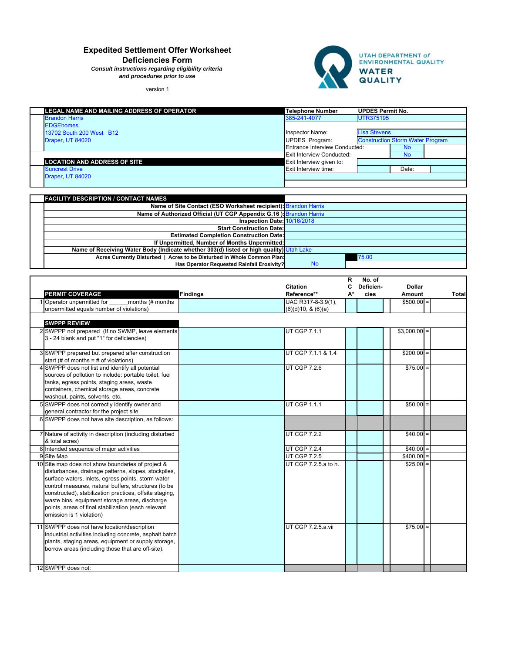# **Expedited Settlement Offer Worksheet**

**Deficiencies Form**

*Consult instructions regarding eligibility criteria and procedures prior to use*

version 1



| LEGAL NAME AND MAILING ADDRESS OF OPERATOR | <b>Telephone Number</b>       | <b>UPDES Permit No.</b> |                                         |  |
|--------------------------------------------|-------------------------------|-------------------------|-----------------------------------------|--|
| <b>Brandon Harris</b>                      | 385-241-4077                  | <b>UTR375195</b>        |                                         |  |
| <b>EDGEhomes</b>                           |                               |                         |                                         |  |
| 13702 South 200 West B12                   | Inspector Name:               | <b>Lisa Stevens</b>     |                                         |  |
| Draper, UT 84020                           | UPDES Program:                |                         | <b>Construction Storm Water Program</b> |  |
|                                            | Entrance Interview Conducted: |                         | <b>No</b>                               |  |
|                                            | Exit Interview Conducted:     |                         | <b>No</b>                               |  |
| <b>LOCATION AND ADDRESS OF SITE</b>        | Exit Interview given to:      |                         |                                         |  |
| <b>Suncrest Drive</b>                      | Exit Interview time:          |                         | Date:                                   |  |
| Draper, UT 84020                           |                               |                         |                                         |  |
|                                            |                               |                         |                                         |  |

| <b>FACILITY DESCRIPTION / CONTACT NAMES</b>                                             |           |       |
|-----------------------------------------------------------------------------------------|-----------|-------|
| Name of Site Contact (ESO Worksheet recipient): Brandon Harris                          |           |       |
| Name of Authorized Official (UT CGP Appendix G.16): Brandon Harris                      |           |       |
| Inspection Date: 10/16/2018                                                             |           |       |
| <b>Start Construction Date:</b>                                                         |           |       |
| <b>Estimated Completion Construction Date:</b>                                          |           |       |
| If Unpermitted, Number of Months Unpermitted:                                           |           |       |
| Name of Receiving Water Body (Indicate whether 303(d) listed or high quality) Utah Lake |           |       |
| Acres Currently Disturbed   Acres to be Disturbed in Whole Common Plan:                 |           | 75.00 |
| Has Operator Requested Rainfall Erosivity?                                              | <b>No</b> |       |

|                                                                                             |                 | R<br>No. of<br>Deficien-<br><b>Dollar</b><br>c |            |               |              |  |  |
|---------------------------------------------------------------------------------------------|-----------------|------------------------------------------------|------------|---------------|--------------|--|--|
| <b>PERMIT COVERAGE</b>                                                                      | <b>Findings</b> | <b>Citation</b><br>Reference**                 | А*<br>cies | Amount        | <b>Total</b> |  |  |
| 1 Operator unpermitted for<br>months (# months                                              |                 | UAC R317-8-3.9(1),                             |            | $$500.00 =$   |              |  |  |
| unpermitted equals number of violations)                                                    |                 | (6)(d)10, 8(6)(e)                              |            |               |              |  |  |
|                                                                                             |                 |                                                |            |               |              |  |  |
| <b>SWPPP REVIEW</b>                                                                         |                 |                                                |            |               |              |  |  |
| 2 SWPPP not prepared (If no SWMP, leave elements                                            |                 | UT CGP 7.1.1                                   |            | $$3,000.00 =$ |              |  |  |
| 3 - 24 blank and put "1" for deficiencies)                                                  |                 |                                                |            |               |              |  |  |
|                                                                                             |                 |                                                |            |               |              |  |  |
| 3 SWPPP prepared but prepared after construction<br>start (# of months = $#$ of violations) |                 | UT CGP 7.1.1 & 1.4                             |            | $$200.00 =$   |              |  |  |
| SWPPP does not list and identify all potential                                              |                 | <b>UT CGP 7.2.6</b>                            |            | $$75.00 =$    |              |  |  |
| sources of pollution to include: portable toilet, fuel                                      |                 |                                                |            |               |              |  |  |
| tanks, egress points, staging areas, waste                                                  |                 |                                                |            |               |              |  |  |
| containers, chemical storage areas, concrete                                                |                 |                                                |            |               |              |  |  |
| washout, paints, solvents, etc.                                                             |                 |                                                |            |               |              |  |  |
| 5 SWPPP does not correctly identify owner and                                               |                 | <b>UT CGP 1.1.1</b>                            |            | $$50.00 =$    |              |  |  |
| general contractor for the project site                                                     |                 |                                                |            |               |              |  |  |
| 6 SWPPP does not have site description, as follows:                                         |                 |                                                |            |               |              |  |  |
|                                                                                             |                 |                                                |            |               |              |  |  |
| 7 Nature of activity in description (including disturbed                                    |                 | <b>UT CGP 7.2.2</b>                            |            | $$40.00 =$    |              |  |  |
| & total acres)                                                                              |                 | <b>UT CGP 7.2.4</b>                            |            | $$40.00 =$    |              |  |  |
| 8 Intended sequence of major activities<br>9 Site Map                                       |                 | <b>UT CGP 7.2.5</b>                            |            | $$400.00 =$   |              |  |  |
| 10 Site map does not show boundaries of project &                                           |                 | UT CGP 7.2.5.a to h.                           |            | $$25.00 =$    |              |  |  |
| disturbances, drainage patterns, slopes, stockpiles,                                        |                 |                                                |            |               |              |  |  |
| surface waters, inlets, egress points, storm water                                          |                 |                                                |            |               |              |  |  |
| control measures, natural buffers, structures (to be                                        |                 |                                                |            |               |              |  |  |
| constructed), stabilization practices, offsite staging,                                     |                 |                                                |            |               |              |  |  |
| waste bins, equipment storage areas, discharge                                              |                 |                                                |            |               |              |  |  |
| points, areas of final stabilization (each relevant                                         |                 |                                                |            |               |              |  |  |
| omission is 1 violation)                                                                    |                 |                                                |            |               |              |  |  |
| 11 SWPPP does not have location/description                                                 |                 | UT CGP 7.2.5.a.vii                             |            | $$75.00 =$    |              |  |  |
| industrial activities including concrete, asphalt batch                                     |                 |                                                |            |               |              |  |  |
| plants, staging areas, equipment or supply storage,                                         |                 |                                                |            |               |              |  |  |
| borrow areas (including those that are off-site).                                           |                 |                                                |            |               |              |  |  |
|                                                                                             |                 |                                                |            |               |              |  |  |
| 12 SWPPP does not:                                                                          |                 |                                                |            |               |              |  |  |
|                                                                                             |                 |                                                |            |               |              |  |  |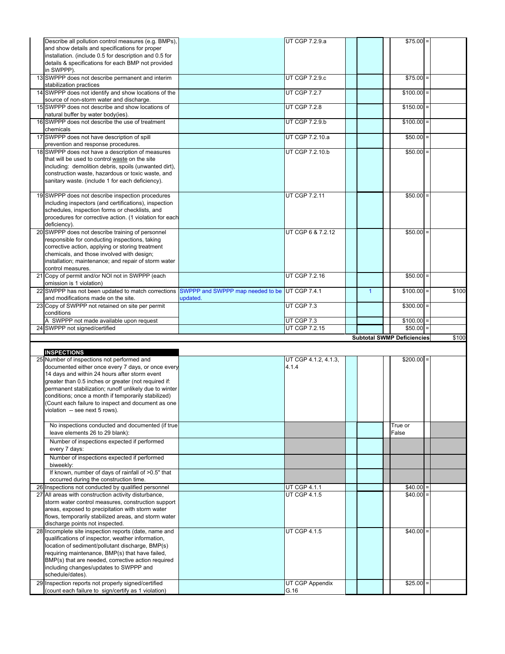| Describe all pollution control measures (e.g. BMPs),<br>and show details and specifications for proper      |                                  | UT CGP 7.2.9.a                      |              | $$75.00$ =                        |       |
|-------------------------------------------------------------------------------------------------------------|----------------------------------|-------------------------------------|--------------|-----------------------------------|-------|
| installation. (include 0.5 for description and 0.5 for                                                      |                                  |                                     |              |                                   |       |
| details & specifications for each BMP not provided                                                          |                                  |                                     |              |                                   |       |
| in SWPPP).<br>13 SWPPP does not describe permanent and interim                                              |                                  | <b>UT CGP 7.2.9.c</b>               |              | $$75.00 =$                        |       |
| stabilization practices                                                                                     |                                  |                                     |              |                                   |       |
| 14 SWPPP does not identify and show locations of the<br>source of non-storm water and discharge.            |                                  | <b>UT CGP 7.2.7</b>                 |              | $$100.00 =$                       |       |
| 15 SWPPP does not describe and show locations of<br>natural buffer by water body(ies).                      |                                  | <b>UT CGP 7.2.8</b>                 |              | $$150.00 =$                       |       |
| 16 SWPPP does not describe the use of treatment                                                             |                                  | UT CGP 7.2.9.b                      |              | $$100.00 =$                       |       |
| chemicals<br>17 SWPPP does not have description of spill                                                    |                                  | UT CGP 7.2.10.a                     |              | $$50.00 =$                        |       |
| prevention and response procedures.<br>18 SWPPP does not have a description of measures                     |                                  | UT CGP 7.2.10.b                     |              | $$50.00 =$                        |       |
| that will be used to control waste on the site                                                              |                                  |                                     |              |                                   |       |
| including: demolition debris, spoils (unwanted dirt),                                                       |                                  |                                     |              |                                   |       |
| construction waste, hazardous or toxic waste, and<br>sanitary waste. (include 1 for each deficiency).       |                                  |                                     |              |                                   |       |
|                                                                                                             |                                  |                                     |              |                                   |       |
| 19 SWPPP does not describe inspection procedures                                                            |                                  | UT CGP 7.2.11                       |              | $$50.00 =$                        |       |
| including inspectors (and certifications), inspection<br>schedules, inspection forms or checklists, and     |                                  |                                     |              |                                   |       |
| procedures for corrective action. (1 violation for each                                                     |                                  |                                     |              |                                   |       |
| deficiency).                                                                                                |                                  |                                     |              |                                   |       |
| 20 SWPPP does not describe training of personnel<br>responsible for conducting inspections, taking          |                                  | UT CGP 6 & 7.2.12                   |              | $$50.00 =$                        |       |
| corrective action, applying or storing treatment                                                            |                                  |                                     |              |                                   |       |
| chemicals, and those involved with design;                                                                  |                                  |                                     |              |                                   |       |
| installation; maintenance; and repair of storm water<br>control measures.                                   |                                  |                                     |              |                                   |       |
| 21 Copy of permit and/or NOI not in SWPPP (each<br>omission is 1 violation)                                 |                                  | UT CGP 7.2.16                       |              | $$50.00 =$                        |       |
| 22 SWPPP has not been updated to match corrections                                                          | SWPPP and SWPPP map needed to be | <b>UT CGP 7.4.1</b>                 | $\mathbf{1}$ | $$100.00 =$                       | \$100 |
| and modifications made on the site.<br>23 Copy of SWPPP not retained on site per permit                     | updated.                         | UT CGP 7.3                          |              | $$300.00 =$                       |       |
|                                                                                                             |                                  |                                     |              |                                   |       |
| conditions                                                                                                  |                                  |                                     |              |                                   |       |
| A SWPPP not made available upon request                                                                     |                                  | UT CGP 7.3                          |              | $$100.00 =$                       |       |
| 24 SWPPP not signed/certified                                                                               |                                  | UT CGP 7.2.15                       |              | $$50.00 =$                        |       |
|                                                                                                             |                                  |                                     |              | <b>Subtotal SWMP Deficiencies</b> |       |
| <b>INSPECTIONS</b>                                                                                          |                                  |                                     |              |                                   | \$100 |
| 25 Number of inspections not performed and                                                                  |                                  | UT CGP 4.1.2, 4.1.3,                |              | $$200.00 =$                       |       |
| documented either once every 7 days, or once every                                                          |                                  | 4.1.4                               |              |                                   |       |
| 14 days and within 24 hours after storm event<br>greater than 0.5 inches or greater (not required if:       |                                  |                                     |              |                                   |       |
| permanent stabilization; runoff unlikely due to winter                                                      |                                  |                                     |              |                                   |       |
| conditions; once a month if temporarily stabilized)                                                         |                                  |                                     |              |                                   |       |
| (Count each failure to inspect and document as one<br>violation -- see next 5 rows).                        |                                  |                                     |              |                                   |       |
|                                                                                                             |                                  |                                     |              |                                   |       |
| No inspections conducted and documented (if true<br>leave elements 26 to 29 blank):                         |                                  |                                     |              | True or<br>False                  |       |
| Number of inspections expected if performed<br>every 7 days:                                                |                                  |                                     |              |                                   |       |
| Number of inspections expected if performed                                                                 |                                  |                                     |              |                                   |       |
| biweekly:<br>If known, number of days of rainfall of >0.5" that                                             |                                  |                                     |              |                                   |       |
| occurred during the construction time.                                                                      |                                  |                                     |              |                                   |       |
| 26 Inspections not conducted by qualified personnel<br>27 All areas with construction activity disturbance, |                                  | UT CGP 4.1.1<br><b>UT CGP 4.1.5</b> |              | $$40.00 =$<br>$$40.00 =$          |       |
| storm water control measures, construction support                                                          |                                  |                                     |              |                                   |       |
| areas, exposed to precipitation with storm water                                                            |                                  |                                     |              |                                   |       |
| flows, temporarily stabilized areas, and storm water<br>discharge points not inspected.                     |                                  |                                     |              |                                   |       |
| 28 Incomplete site inspection reports (date, name and                                                       |                                  | <b>UT CGP 4.1.5</b>                 |              | $$40.00 =$                        |       |
| qualifications of inspector, weather information,                                                           |                                  |                                     |              |                                   |       |
| location of sediment/pollutant discharge, BMP(s)<br>requiring maintenance, BMP(s) that have failed,         |                                  |                                     |              |                                   |       |
| BMP(s) that are needed, corrective action required                                                          |                                  |                                     |              |                                   |       |
| including changes/updates to SWPPP and                                                                      |                                  |                                     |              |                                   |       |
| schedule/dates).<br>29 Inspection reports not properly signed/certified                                     |                                  | UT CGP Appendix                     |              | $$25.00 =$                        |       |